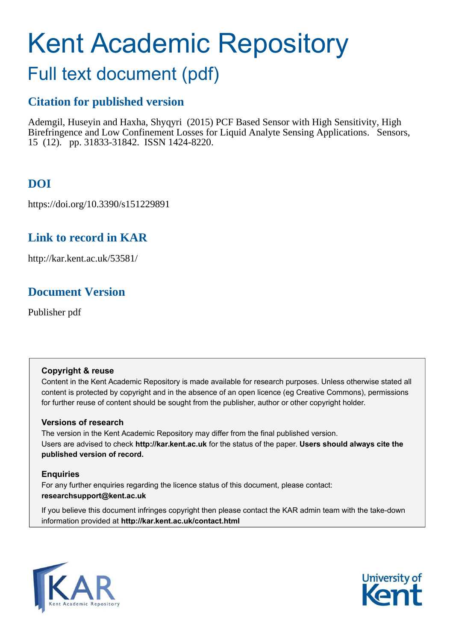# Kent Academic Repository

# Full text document (pdf)

## **Citation for published version**

Ademgil, Huseyin and Haxha, Shyqyri (2015) PCF Based Sensor with High Sensitivity, High Birefringence and Low Confinement Losses for Liquid Analyte Sensing Applications. Sensors, 15 (12). pp. 31833-31842. ISSN 1424-8220.

## **DOI**

https://doi.org/10.3390/s151229891

## **Link to record in KAR**

http://kar.kent.ac.uk/53581/

## **Document Version**

Publisher pdf

#### **Copyright & reuse**

Content in the Kent Academic Repository is made available for research purposes. Unless otherwise stated all content is protected by copyright and in the absence of an open licence (eg Creative Commons), permissions for further reuse of content should be sought from the publisher, author or other copyright holder.

#### **Versions of research**

The version in the Kent Academic Repository may differ from the final published version. Users are advised to check **http://kar.kent.ac.uk** for the status of the paper. **Users should always cite the published version of record.**

#### **Enquiries**

For any further enquiries regarding the licence status of this document, please contact: **researchsupport@kent.ac.uk**

If you believe this document infringes copyright then please contact the KAR admin team with the take-down information provided at **http://kar.kent.ac.uk/contact.html**



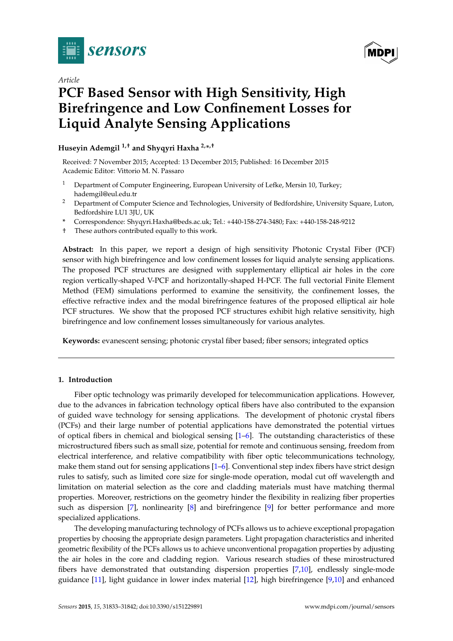

*Article*

## **PCF Based Sensor with High Sensitivity, High Birefringence and Low Confinement Losses for Liquid Analyte Sensing Applications**

**Huseyin Ademgil 1,† and Shyqyri Haxha 2,\* ,†**

Received: 7 November 2015; Accepted: 13 December 2015; Published: 16 December 2015 Academic Editor: Vittorio M. N. Passaro

- <sup>1</sup> Department of Computer Engineering, European University of Lefke, Mersin 10, Turkey; hademgil@eul.edu.tr
- <sup>2</sup> Department of Computer Science and Technologies, University of Bedfordshire, University Square, Luton, Bedfordshire LU1 3JU, UK
- **\*** Correspondence: Shyqyri.Haxha@beds.ac.uk; Tel.: +440-158-274-3480; Fax: +440-158-248-9212
- † These authors contributed equally to this work.

**Abstract:** In this paper, we report a design of high sensitivity Photonic Crystal Fiber (PCF) sensor with high birefringence and low confinement losses for liquid analyte sensing applications. The proposed PCF structures are designed with supplementary elliptical air holes in the core region vertically-shaped V-PCF and horizontally-shaped H-PCF. The full vectorial Finite Element Method (FEM) simulations performed to examine the sensitivity, the confinement losses, the effective refractive index and the modal birefringence features of the proposed elliptical air hole PCF structures. We show that the proposed PCF structures exhibit high relative sensitivity, high birefringence and low confinement losses simultaneously for various analytes.

**Keywords:** evanescent sensing; photonic crystal fiber based; fiber sensors; integrated optics

#### **1. Introduction**

Fiber optic technology was primarily developed for telecommunication applications. However, due to the advances in fabrication technology optical fibers have also contributed to the expansion of guided wave technology for sensing applications. The development of photonic crystal fibers (PCFs) and their large number of potential applications have demonstrated the potential virtues of optical fibers in chemical and biological sensing  $[1-6]$  $[1-6]$ . The outstanding characteristics of these microstructured fibers such as small size, potential for remote and continuous sensing, freedom from electrical interference, and relative compatibility with fiber optic telecommunications technology, make them stand out for sensing applications [\[1](#page-8-0)[–6\]](#page-8-1). Conventional step index fibers have strict design rules to satisfy, such as limited core size for single-mode operation, modal cut off wavelength and limitation on material selection as the core and cladding materials must have matching thermal properties. Moreover, restrictions on the geometry hinder the flexibility in realizing fiber properties such as dispersion [\[7\]](#page-8-2), nonlinearity [\[8\]](#page-8-3) and birefringence [\[9\]](#page-8-4) for better performance and more specialized applications.

The developing manufacturing technology of PCFs allows us to achieve exceptional propagation properties by choosing the appropriate design parameters. Light propagation characteristics and inherited geometric flexibility of the PCFs allows us to achieve unconventional propagation properties by adjusting the air holes in the core and cladding region. Various research studies of these mirostructured fibers have demonstrated that outstanding dispersion properties [\[7](#page-8-2)[,10\]](#page-8-5), endlessly single-mode guidance [\[11\]](#page-8-6), light guidance in lower index material [\[12\]](#page-8-7), high birefringence [\[9,](#page-8-4)[10\]](#page-8-5) and enhanced

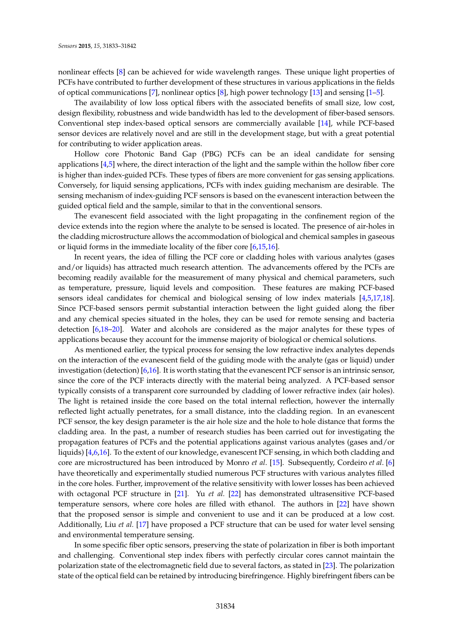nonlinear effects [\[8\]](#page-8-3) can be achieved for wide wavelength ranges. These unique light properties of PCFs have contributed to further development of these structures in various applications in the fields of optical communications [\[7\]](#page-8-2), nonlinear optics [\[8\]](#page-8-3), high power technology [\[13\]](#page-8-8) and sensing [\[1–](#page-8-0)[5\]](#page-8-9).

The availability of low loss optical fibers with the associated benefits of small size, low cost, design flexibility, robustness and wide bandwidth has led to the development of fiber-based sensors. Conventional step index-based optical sensors are commercially available [\[14\]](#page-8-10), while PCF-based sensor devices are relatively novel and are still in the development stage, but with a great potential for contributing to wider application areas.

Hollow core Photonic Band Gap (PBG) PCFs can be an ideal candidate for sensing applications [\[4,](#page-8-11)[5\]](#page-8-9) where, the direct interaction of the light and the sample within the hollow fiber core is higher than index-guided PCFs. These types of fibers are more convenient for gas sensing applications. Conversely, for liquid sensing applications, PCFs with index guiding mechanism are desirable. The sensing mechanism of index-guiding PCF sensors is based on the evanescent interaction between the guided optical field and the sample, similar to that in the conventional sensors.

The evanescent field associated with the light propagating in the confinement region of the device extends into the region where the analyte to be sensed is located. The presence of air-holes in the cladding microstructure allows the accommodation of biological and chemical samples in gaseous or liquid forms in the immediate locality of the fiber core [\[6](#page-8-1)[,15](#page-8-12)[,16\]](#page-8-13).

In recent years, the idea of filling the PCF core or cladding holes with various analytes (gases and/or liquids) has attracted much research attention. The advancements offered by the PCFs are becoming readily available for the measurement of many physical and chemical parameters, such as temperature, pressure, liquid levels and composition. These features are making PCF-based sensors ideal candidates for chemical and biological sensing of low index materials [\[4,](#page-8-11)[5,](#page-8-9)[17](#page-8-14)[,18\]](#page-9-0). Since PCF-based sensors permit substantial interaction between the light guided along the fiber and any chemical species situated in the holes, they can be used for remote sensing and bacteria detection [\[6](#page-8-1)[,18](#page-9-0)[–20\]](#page-9-1). Water and alcohols are considered as the major analytes for these types of applications because they account for the immense majority of biological or chemical solutions.

As mentioned earlier, the typical process for sensing the low refractive index analytes depends on the interaction of the evanescent field of the guiding mode with the analyte (gas or liquid) under investigation (detection) [\[6](#page-8-1)[,16\]](#page-8-13). It is worth stating that the evanescent PCF sensor is an intrinsic sensor, since the core of the PCF interacts directly with the material being analyzed. A PCF-based sensor typically consists of a transparent core surrounded by cladding of lower refractive index (air holes). The light is retained inside the core based on the total internal reflection, however the internally reflected light actually penetrates, for a small distance, into the cladding region. In an evanescent PCF sensor, the key design parameter is the air hole size and the hole to hole distance that forms the cladding area. In the past, a number of research studies has been carried out for investigating the propagation features of PCFs and the potential applications against various analytes (gases and/or liquids) [\[4](#page-8-11)[,6](#page-8-1)[,16\]](#page-8-13). To the extent of our knowledge, evanescent PCF sensing, in which both cladding and core are microstructured has been introduced by Monro *et al*. [\[15\]](#page-8-12). Subsequently, Cordeiro *et al*. [\[6\]](#page-8-1) have theoretically and experimentally studied numerous PCF structures with various analytes filled in the core holes. Further, improvement of the relative sensitivity with lower losses has been achieved with octagonal PCF structure in [\[21\]](#page-9-2). Yu *et al.* [\[22\]](#page-9-3) has demonstrated ultrasensitive PCF-based temperature sensors, where core holes are filled with ethanol. The authors in [\[22\]](#page-9-3) have shown that the proposed sensor is simple and convenient to use and it can be produced at a low cost. Additionally, Liu *et al.* [\[17\]](#page-8-14) have proposed a PCF structure that can be used for water level sensing and environmental temperature sensing.

In some specific fiber optic sensors, preserving the state of polarization in fiber is both important and challenging. Conventional step index fibers with perfectly circular cores cannot maintain the polarization state of the electromagnetic field due to several factors, as stated in [\[23\]](#page-9-4). The polarization state of the optical field can be retained by introducing birefringence. Highly birefringent fibers can be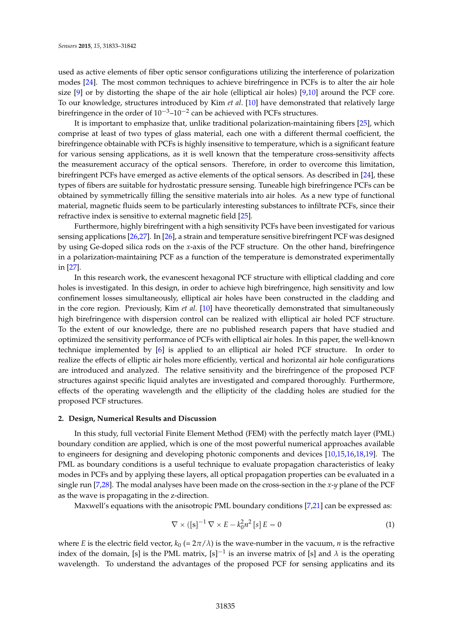used as active elements of fiber optic sensor configurations utilizing the interference of polarization modes [\[24\]](#page-9-5). The most common techniques to achieve birefringence in PCFs is to alter the air hole size  $[9]$  or by distorting the shape of the air hole (elliptical air holes)  $[9,10]$  $[9,10]$  around the PCF core. To our knowledge, structures introduced by Kim *et al*. [\[10\]](#page-8-5) have demonstrated that relatively large birefringence in the order of  $10^{-3}$ – $10^{-2}$  can be achieved with PCFs structures.

It is important to emphasize that, unlike traditional polarization-maintaining fibers [\[25\]](#page-9-6), which comprise at least of two types of glass material, each one with a different thermal coefficient, the birefringence obtainable with PCFs is highly insensitive to temperature, which is a significant feature for various sensing applications, as it is well known that the temperature cross-sensitivity affects the measurement accuracy of the optical sensors. Therefore, in order to overcome this limitation, birefringent PCFs have emerged as active elements of the optical sensors. As described in [\[24\]](#page-9-5), these types of fibers are suitable for hydrostatic pressure sensing. Tuneable high birefringence PCFs can be obtained by symmetrically filling the sensitive materials into air holes. As a new type of functional material, magnetic fluids seem to be particularly interesting substances to infiltrate PCFs, since their refractive index is sensitive to external magnetic field [\[25\]](#page-9-6).

Furthermore, highly birefringent with a high sensitivity PCFs have been investigated for various sensing applications [\[26](#page-9-7)[,27\]](#page-9-8). In [\[26\]](#page-9-7), a strain and temperature sensitive birefringent PCF was designed by using Ge-doped silica rods on the *x*-axis of the PCF structure. On the other hand, birefringence in a polarization-maintaining PCF as a function of the temperature is demonstrated experimentally in [\[27\]](#page-9-8).

<span id="page-3-0"></span>In this research work, the evanescent hexagonal PCF structure with elliptical cladding and core holes is investigated. In this design, in order to achieve high birefringence, high sensitivity and low confinement losses simultaneously, elliptical air holes have been constructed in the cladding and in the core region. Previously, Kim *et al.* [\[10\]](#page-8-5) have theoretically demonstrated that simultaneously high birefringence with dispersion control can be realized with elliptical air holed PCF structure. To the extent of our knowledge, there are no published research papers that have studied and optimized the sensitivity performance of PCFs with elliptical air holes. In this paper, the well-known technique implemented by [\[6\]](#page-8-1) is applied to an elliptical air holed PCF structure. In order to realize the effects of elliptic air holes more efficiently, vertical and horizontal air hole configurations are introduced and analyzed. The relative sensitivity and the birefringence of the proposed PCF structures against specific liquid analytes are investigated and compared thoroughly. Furthermore, effects of the operating wavelength and the ellipticity of the cladding holes are studied for the proposed PCF structures.

#### **2. Design, Numerical Results and Discussion**

In this study, full vectorial Finite Element Method (FEM) with the perfectly match layer (PML) boundary condition are applied, which is one of the most powerful numerical approaches available to engineers for designing and developing photonic components and devices [\[10,](#page-8-5)[15,](#page-8-12)[16,](#page-8-13)[18](#page-9-0)[,19\]](#page-9-9). The PML as boundary conditions is a useful technique to evaluate propagation characteristics of leaky modes in PCFs and by applying these layers, all optical propagation properties can be evaluated in a single run [\[7,](#page-8-2)[28\]](#page-9-10). The modal analyses have been made on the cross-section in the *x*-*y* plane of the PCF as the wave is propagating in the z-direction.

Maxwell's equations with the anisotropic PML boundary conditions [\[7,](#page-8-2)[21\]](#page-9-2) can be expressed as:

$$
\nabla \times \left( \left[ s \right]^{-1} \nabla \times E - k_0^2 n^2 \left[ s \right] E = 0 \tag{1}
$$

where *E* is the electric field vector,  $k_0$  (=  $2\pi/\lambda$ ) is the wave-number in the vacuum, *n* is the refractive index of the domain, [s] is the PML matrix,  $[s]^{-1}$  is an inverse matrix of [s] and  $\lambda$  is the operating wavelength. To understand the advantages of the proposed PCF for sensing applicatins and its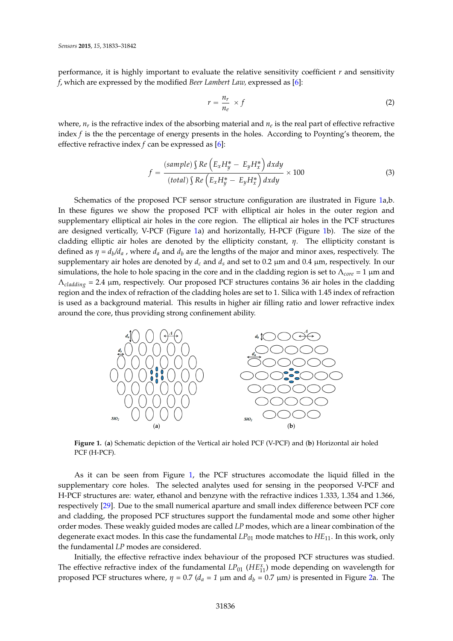performance, it is highly important to evaluate the relative sensitivity coefficient *r* and sensitivity *f*, which are expressed by the modified *Beer Lambert Law,* expressed as [\[6\]](#page-8-1):

$$
r = \frac{n_r}{n_e} \times f \tag{2}
$$

where,  $n_r$  is the refractive index of the absorbing material and  $n_e$  is the real part of effective refractive index *f* is the the percentage of energy presents in the holes. According to Poynting's theorem, the effective refractive index *f* can be expressed as [\[6\]](#page-8-1):

$$
f = \frac{(sample) \int Re\left(E_x H_y^* - E_y H_x^*\right) dxdy}{(total) \int Re\left(E_x H_y^* - E_y H_x^*\right) dxdy} \times 100
$$
\n(3)

<span id="page-4-0"></span>Schematics of the proposed PCF sensor structure configuration are ilustrated in Figure [1a](#page-3-0),b. 茅 In these figures we show the proposed PCF with elliptical air holes in the outer region and supplementary elliptical air holes in the core region. The elliptical air holes in the PCF structures are designed vertically, V-PCF (Figure [1a](#page-3-0)) and horizontally, H-PCF (Figure [1b](#page-3-0)). The size of the cladding elliptic air holes are denoted by the ellipticity constant, *η.* The ellipticity constant is defined as  $\eta = d_b/d_a$ , where  $d_a$  and  $d_b$  are the lengths of the major and minor axes, respectively. The supplementary air holes are denoted by  $d_c$  and  $d_s$  and set to 0.2  $\mu$ m and 0.4  $\mu$ m, respectively. In our simulations, the hole to hole spacing in the core and in the cladding region is set to  $Λ_{core} = 1$  μm and Λ*cladding* = 2.4 µm, respectively. Our proposed PCF structures contains 36 air holes in the cladding *2 2* region and the index of refraction of the cladding holes are set to 1. Silica with 1.45 index of refraction is used as a background material. This results in higher air filling ratio and lower refractive index around the core, thus providing strong confinement ability.

<span id="page-4-1"></span>

**Figure 1.** (**a**) Schematic depiction of the Vertical air holed PCF (V-PCF) and (**b**) Horizontal air holed PCF (H-PCF).

degenerate exact modes. In this case the fundamental  $LP_{01}$  mode matches to  $HE_{11}$ . In this work, only *も* the fundamental *LP* modes are considered. As it can be seen from Figure [1,](#page-3-0) the PCF structures accomodate the liquid filled in the supplementary core holes. The selected analytes used for sensing in the peoporsed V-PCF and H-PCF structures are: water, ethanol and benzyne with the refractive indices 1.333, 1.354 and 1.366, respectively [\[29\]](#page-9-11). Due to the small numerical aparture and small index difference between PCF core and cladding, the proposed PCF structures support the fundamental mode and some other higher order modes. These weakly guided modes are called *LP* modes, which are a linear combination of the

Initially, the effective refractive index behaviour of the proposed PCF structures was studied. The effective refractive index of the fundamental  $LP_{01}$  ( $HE_{11}^x$ ) mode depending on wavelength for proposed PCF structures where,  $η = 0.7$  ( $d<sub>a</sub> = 1$  μm and  $d<sub>b</sub> = 0.7$  μm) is presented in Figure [2a](#page-4-0). The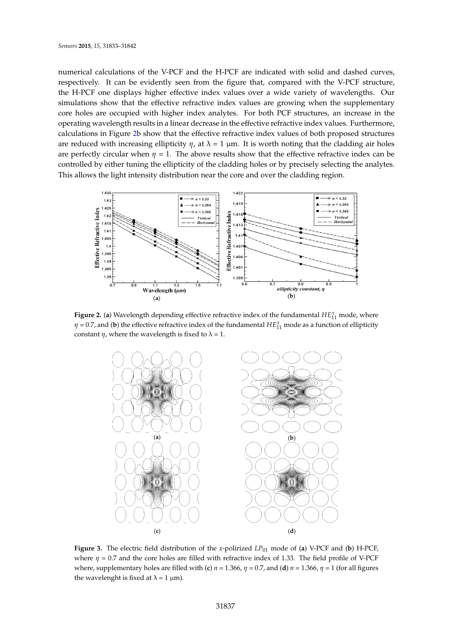numerical calculations of the V-PCF and the H-PCF are indicated with solid and dashed curves, respectively. It can be evidently seen from the figure that, compared with the V-PCF structure, the H-PCF one displays higher effective index values over a wide variety of wavelengths. Our simulations show that the effective refractive index values are growing when the supplementary core holes are occupied with higher index analytes. For both PCF structures, an increase in the operating wavelength results in a linear decrease in the effective refractive index values. Furthermore, calculations in Figure [2b](#page-4-0) show that the effective refractive index values of both proposed structures are reduced with increasing ellipticity  $η$ , at  $λ = 1$  μm. It is worth noting that the cladding air holes are perfectly circular when  $\eta = 1$ . The above results show that the effective refractive index can be controlled by either tuning the ellipticity of the cladding holes or by precisely selecting the analytes. *も* This allows the light intensity distribution near the core and over the cladding region. *も*



<span id="page-5-0"></span> $\sim$ **Figure 2.** (a) Wavelength depending effective refractive index of the fundamental  $HE_{11}^x$  mode, where  $\eta$  = 0.7, and (**b**) the effective refractive index of the fundamental  $HE_{11}^x$  mode as a function of ellipticity constant  $\eta$ , where the wavelength is fixed to  $\lambda = 1$ .



ゆ *も* **Figure 3.** The electric field distribution of the *x*-polirized *LP*<sup>01</sup> mode of (**a**) V-PCF and (**b**) H-PCF, where, supplementary holes are filled with (**c**)  $n = 1.366$ ,  $\eta = 0.7$ , and (**d**)  $n = 1.366$ ,  $\eta = 1$  (for all figures *where η* = 0.7 and the core holes are filled with refractive index of 1.33. The field profile of V-PCF the wavelenght is fixed at  $\lambda = 1 \mu m$ *)*.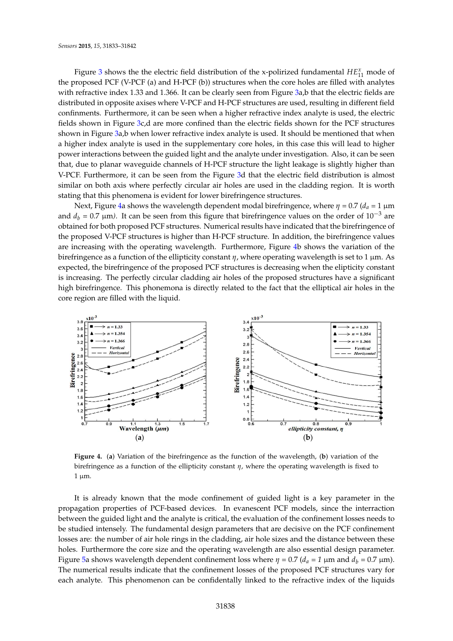Figure [3](#page-4-1) shows the the electric field distribution of the x-polirized fundamental  $HE_{11}^x$  mode of the proposed PCF (V-PCF (a) and H-PCF (b)) structures when the core holes are filled with analytes with refractive index 1.33 and 1.366. It can be clearly seen from Figure [3a](#page-4-1),b that the electric fields are distributed in opposite axises where V-PCF and H-PCF structures are used, resulting in different field confinments. Furthermore, it can be seen when a higher refractive index analyte is used, the electric fields shown in Figure [3c](#page-4-1),d are more confined than the electric fields shown for the PCF structures shown in Figure [3a](#page-4-1),b when lower refractive index analyte is used. It should be mentioned that when a higher index analyte is used in the supplementary core holes, in this case this will lead to higher power interactions between the guided light and the analyte under investigation. Also, it can be seen that, due to planar waveguide channels of H-PCF structure the light leakage is slightly higher than V-PCF. Furthermore, it can be seen from the Figure [3d](#page-4-1) that the electric field distribution is almost similar on both axis where perfectly circular air holes are used in the cladding region. It is worth stating that this phenomena is evident for lower birefringence structures.

<span id="page-6-0"></span>Next, Figure [4a](#page-5-0) shows the wavelength dependent modal birefringence, where  $\eta = 0.7$  ( $d_a = 1$  µm and  $d_b = 0.7 \text{ }\mu\text{m}$ ). It can be seen from this figure that birefringence values on the order of  $10^{-3}$  are obtained for both proposed PCF structures. Numerical results have indicated that the birefringence of ┑ the proposed V-PCF structures is higher than H-PCF structure. In addition, the birefringence values are increasing with the operating wavelength. Furthermore, Figure [4b](#page-5-0) shows the variation of the birefringence as a function of the ellipticity constant *η*, where operating wavelength is set to 1 µm. As *も* expected, the birefringence of the proposed PCF structures is decreasing when the elipticity constant is increasing. The perfectly circular cladding air holes of the proposed structures have a significant high birefringence. This phonemona is directly related to the fact that the elliptical air holes in the core region are filled with the liquid.



*も* birefringence as a function of the ellipticity constant *η*, where the operating wavelength is fixed to **Figure 4.** (**a**) Variation of the birefringence as the function of the wavelength, (**b**) variation of the  $1 \mu m$ .

losses are: the number of air hole rings in the cladding, air hole sizes and the distance between these It is already known that the mode confinement of guided light is a key parameter in the propagation properties of PCF-based devices. In evanescent PCF models, since the interraction between the guided light and the analyte is critical, the evaluation of the confinement losses needs to be studied intensely. The fundamental design parameters that are decisive on the PCF confinement holes. Furthermore the core size and the operating wavelength are also essential design parameter. Figure [5a](#page-6-0) shows wavelength dependent confinement loss where  $η = 0.7$  ( $d<sub>a</sub> = 1$  μm and  $d<sub>b</sub> = 0.7$  μm). The numerical results indicate that the confinement losses of the proposed PCF structures vary for each analyte. This phenomenon can be confidentally linked to the refractive index of the liquids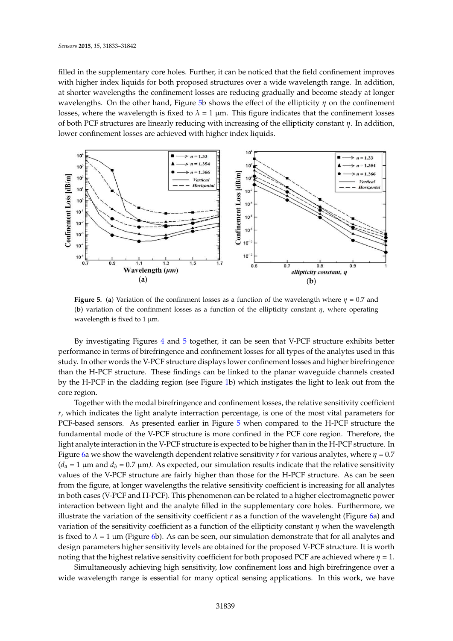filled in the supplementary core holes. Further, it can be noticed that the field confinement improves with higher index liquids for both proposed structures over a wide wavelength range. In addition, at shorter wavelengths the confinement losses are reducing gradually and become steady at longer wavelengths. On the other hand, Figure [5b](#page-6-0) shows the effect of the ellipticity *η* on the confinement losses, where the wavelength is fixed to  $\lambda = 1 \mu m$ . This figure indicates that the confinement losses of both PCF structures are linearly reducing with increasing of the ellipticity constant *η*. In addition, *も* lower confinement losses are achieved with higher index liquids.

<span id="page-7-0"></span>

**Figure 5.** (a) Variation of the confinment losses as a function of the wavelength where  $\eta = 0.7$  and *も* (**b**) variation of the confinment losses as a function of the ellipticity constant *η*, where operating wavelength is fixed to 1  $\mu$ m.

By investigating Figures [4](#page-5-0) and [5](#page-6-0) together, it can be seen that V-PCF structure exhibits better performance in terms of birefringence and confinement losses for all types of the analytes used in this study. In other words the V-PCF structure displays lower confinement losses and higher birefringence than the H-PCF structure. These findings can be linked to the planar waveguide channels created by the H-PCF in the cladding region (see Figure [1b](#page-3-0)) which instigates the light to leak out from the core region.

Figure [6a](#page-7-0) we show the wavelength dependent relative sensitivity *r* for various analytes, where  $\eta = 0.7$ *variation of the sensitivity coefficient as a function of the ellipticity constant <i>η* when the wavelength noting that the highest relative sensitivity coefficient for both proposed PCF are achieved where  $\eta$  = 1*.* Together with the modal birefringence and confinement losses, the relative sensitivity coefficient *r*, which indicates the light analyte interraction percentage, is one of the most vital parameters for PCF-based sensors. As presented earlier in Figure [5](#page-6-0) when compared to the H-PCF structure the fundamental mode of the V-PCF structure is more confined in the PCF core region. Therefore, the light analyte interaction in the V-PCF structure is expected to be higher than in the H-PCF structure. In  $(d_a = 1 \mu m$  and  $d_b = 0.7 \mu m$ . As expected, our simulation results indicate that the relative sensitivity values of the V-PCF structure are fairly higher than those for the H-PCF structure. As can be seen from the figure, at longer wavelengths the relative sensitivity coefficient is increasing for all analytes in both cases (V-PCF and H-PCF). This phenomenon can be related to a higher electromagnetic power interaction between light and the analyte filled in the supplementary core holes. Furthermore, we illustrate the variation of the sensitivity coefficient  $r$  as a function of the wavelenght (Figure [6a](#page-7-0)) and is fixed to  $λ = 1 \mu m$  (Figure [6b](#page-7-0)). As can be seen, our simulation demonstrate that for all analytes and design parameters higher sensitivity levels are obtained for the proposed V-PCF structure. It is worth

Simultaneously achieving high sensitivity, low confinement loss and high birefringence over a wide wavelength range is essential for many optical sensing applications. In this work, we have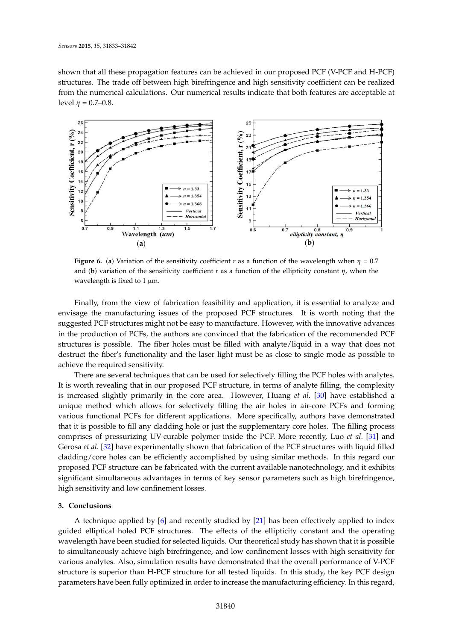shown that all these propagation features can be achieved in our proposed PCF (V-PCF and H-PCF) structures. The trade off between high birefringence and high sensitivity coefficient can be realized from the numerical calculations. Our numerical results indicate that both features are acceptable at level  $η$  = 0.7–0.8.

<span id="page-8-0"></span>

<span id="page-8-11"></span><span id="page-8-9"></span>**Figure 6.** (a) Variation of the sensitivity coefficient *r* as a function of the wavelength when  $\eta = 0.7$ and (**b**) variation of the sensitivity coefficient *r* as a function of the ellipticity constant *η*, when the wavelength is fixed to 1  $\mu$ m.

<span id="page-8-2"></span><span id="page-8-1"></span>Finally, from the view of fabrication feasibility and application, it is essential to analyze and envisage the manufacturing issues of the proposed PCF structures. It is worth noting that the suggested PCF structures might not be easy to manufacture. However, with the innovative advances in the production of PCFs, the authors are convinced that the fabrication of the recommended PCF structures is possible. The fiber holes must be filled with analyte/liquid in a way that does not destruct the fiber's functionality and the laser light must be as close to single mode as possible to achieve the required sensitivity.

<span id="page-8-7"></span><span id="page-8-6"></span><span id="page-8-5"></span><span id="page-8-4"></span><span id="page-8-3"></span>There are several techniques that can be used for selectively filling the PCF holes with analytes. It is worth revealing that in our proposed PCF structure, in terms of analyte filling, the complexity is increased slightly primarily in the core area. However, Huang *et al*. [\[30\]](#page-9-12) have established a unique method which allows for selectively filling the air holes in air-core PCFs and forming various functional PCFs for different applications. More specifically, authors have demonstrated that it is possible to fill any cladding hole or just the supplementary core holes. The filling process comprises of pressurizing UV-curable polymer inside the PCF. More recently, Luo *et al*. [\[31\]](#page-9-13) and Gerosa *et al*. [\[32\]](#page-9-14) have experimentally shown that fabrication of the PCF structures with liquid filled cladding/core holes can be efficiently accomplished by using similar methods. In this regard our proposed PCF structure can be fabricated with the current available nanotechnology, and it exhibits significant simultaneous advantages in terms of key sensor parameters such as high birefringence, high sensitivity and low confinement losses.

#### <span id="page-8-12"></span><span id="page-8-10"></span><span id="page-8-8"></span>**3. Conclusions**

<span id="page-8-14"></span><span id="page-8-13"></span>A technique applied by [\[6\]](#page-8-1) and recently studied by [\[21\]](#page-9-2) has been effectively applied to index guided elliptical holed PCF structures. The effects of the ellipticity constant and the operating wavelength have been studied for selected liquids. Our theoretical study has shown that it is possible to simultaneously achieve high birefringence, and low confinement losses with high sensitivity for various analytes. Also, simulation results have demonstrated that the overall performance of V-PCF structure is superior than H-PCF structure for all tested liquids. In this study, the key PCF design parameters have been fully optimized in order to increase the manufacturing efficiency. In this regard,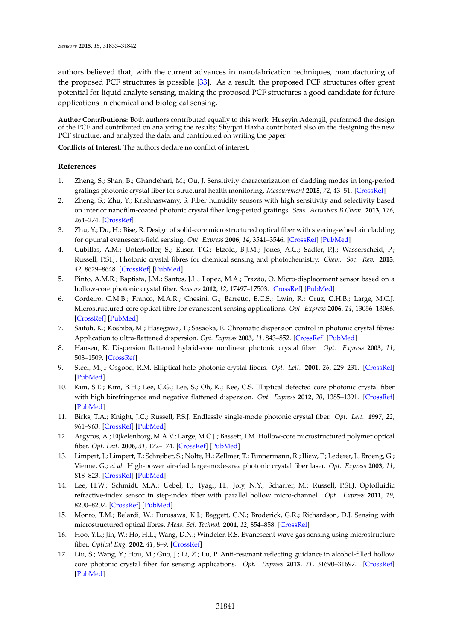<span id="page-9-9"></span><span id="page-9-0"></span>authors believed that, with the current advances in nanofabrication techniques, manufacturing of the proposed PCF structures is possible [\[33\]](#page-9-15). As a result, the proposed PCF structures offer great potential for liquid analyte sensing, making the proposed PCF structures a good candidate for future applications in chemical and biological sensing.

<span id="page-9-1"></span>**Author Contributions:** Both authors contributed equally to this work. Huseyin Ademgil, performed the design of the PCF and contributed on analyzing the results; Shyqyri Haxha contributed also on the designing the new PCF structure, and analyzed the data, and contributed on writing the paper.

<span id="page-9-3"></span><span id="page-9-2"></span>**Conflicts of Interest:** The authors declare no conflict of interest.

#### **References**

- <span id="page-9-4"></span>1. Zheng, S.; Shan, B.; Ghandehari, M.; Ou, J. Sensitivity characterization of cladding modes in long-period gratings photonic crystal fiber for structural health monitoring. *Measurement* **2015**, *72*, 43–51. [\[CrossRef\]](http://dx.doi.org/10.1016/j.measurement.2015.04.014)
- <span id="page-9-5"></span>2. Zheng, S.; Zhu, Y.; Krishnaswamy, S. Fiber humidity sensors with high sensitivity and selectivity based on interior nanofilm-coated photonic crystal fiber long-period gratings. *Sens. Actuators B Chem.* **2013**, *176*, 264–274. [\[CrossRef\]](http://dx.doi.org/10.1016/j.snb.2012.09.098)
- <span id="page-9-6"></span>3. Zhu, Y.; Du, H.; Bise, R. Design of solid-core microstructured optical fiber with steering-wheel air cladding for optimal evanescent-field sensing. *Opt. Express* **2006**, *14*, 3541–3546. [\[CrossRef\]](http://dx.doi.org/10.1364/OE.14.003541) [\[PubMed\]](http://www.ncbi.nlm.nih.gov/pubmed/19516500)
- 4. Cubillas, A.M.; Unterkofler, S.; Euser, T.G.; Etzold, B.J.M.; Jones, A.C.; Sadler, P.J.; Wasserscheid, P.; Russell, P.St.J. Photonic crystal fibres for chemical sensing and photochemistry. *Chem. Soc. Rev.* **2013**, *42*, 8629–8648. [\[CrossRef\]](http://dx.doi.org/10.1039/c3cs60128e) [\[PubMed\]](http://www.ncbi.nlm.nih.gov/pubmed/23753016)
- <span id="page-9-8"></span><span id="page-9-7"></span>5. Pinto, A.M.R.; Baptista, J.M.; Santos, J.L.; Lopez, M.A.; Frazão, O. Micro-displacement sensor based on a hollow-core photonic crystal fiber. *Sensors* **2012**, *12*, 17497–17503. [\[CrossRef\]](http://dx.doi.org/10.3390/s121217497) [\[PubMed\]](http://www.ncbi.nlm.nih.gov/pubmed/23247414)
- <span id="page-9-10"></span>6. Cordeiro, C.M.B.; Franco, M.A.R.; Chesini, G.; Barretto, E.C.S.; Lwin, R.; Cruz, C.H.B.; Large, M.C.J. Microstructured-core optical fibre for evanescent sensing applications. *Opt. Express* **2006**, *14*, 13056–13066. [\[CrossRef\]](http://dx.doi.org/10.1364/OE.14.013056) [\[PubMed\]](http://www.ncbi.nlm.nih.gov/pubmed/19532201)
- <span id="page-9-11"></span>7. Saitoh, K.; Koshiba, M.; Hasegawa, T.; Sasaoka, E. Chromatic dispersion control in photonic crystal fibres: Application to ultra-flattened dispersion. *Opt. Express* **2003**, *11*, 843–852. [\[CrossRef\]](http://dx.doi.org/10.1364/OE.11.000843) [\[PubMed\]](http://www.ncbi.nlm.nih.gov/pubmed/19461798)
- <span id="page-9-12"></span>8. Hansen, K. Dispersion flattened hybrid-core nonlinear photonic crystal fiber. *Opt. Express* **2003**, *11*, 503–1509. [\[CrossRef\]](http://dx.doi.org/10.1364/OE.11.001503)
- <span id="page-9-13"></span>9. Steel, M.J.; Osgood, R.M. Elliptical hole photonic crystal fibers. *Opt. Lett.* **2001**, *26*, 229–231. [\[CrossRef\]](http://dx.doi.org/10.1364/OL.26.000229) [\[PubMed\]](http://www.ncbi.nlm.nih.gov/pubmed/18033556)
- 10. Kim, S.E.; Kim, B.H.; Lee, C.G.; Lee, S.; Oh, K.; Kee, C.S. Elliptical defected core photonic crystal fiber with high birefringence and negative flattened dispersion. *Opt. Express* **2012**, *20*, 1385–1391. [\[CrossRef\]](http://dx.doi.org/10.1364/OE.20.001385) [\[PubMed\]](http://www.ncbi.nlm.nih.gov/pubmed/22274483)
- <span id="page-9-14"></span>11. Birks, T.A.; Knight, J.C.; Russell, P.S.J. Endlessly single-mode photonic crystal fiber. *Opt. Lett.* **1997**, *22*, 961–963. [\[CrossRef\]](http://dx.doi.org/10.1364/OL.22.000961) [\[PubMed\]](http://www.ncbi.nlm.nih.gov/pubmed/18185719)
- <span id="page-9-15"></span>12. Argyros, A.; Eijkelenborg, M.A.V.; Large, M.C.J.; Bassett, I.M. Hollow-core microstructured polymer optical fiber. *Opt. Lett.* **2006**, *31*, 172–174. [\[CrossRef\]](http://dx.doi.org/10.1364/OL.31.000172) [\[PubMed\]](http://www.ncbi.nlm.nih.gov/pubmed/16441020)
- 13. Limpert, J.; Limpert, T.; Schreiber, S.; Nolte, H.; Zellmer, T.; Tunnermann, R.; Iliew, F.; Lederer, J.; Broeng, G.; Vienne, G.; *et al*. High-power air-clad large-mode-area photonic crystal fiber laser. *Opt. Express* **2003**, *11*, 818–823. [\[CrossRef\]](http://dx.doi.org/10.1364/OE.11.000818) [\[PubMed\]](http://www.ncbi.nlm.nih.gov/pubmed/19461794)
- 14. Lee, H.W.; Schmidt, M.A.; Uebel, P.; Tyagi, H.; Joly, N.Y.; Scharrer, M.; Russell, P.St.J. Optofluidic refractive-index sensor in step-index fiber with parallel hollow micro-channel. *Opt. Express* **2011**, *19*, 8200–8207. [\[CrossRef\]](http://dx.doi.org/10.1364/OE.19.008200) [\[PubMed\]](http://www.ncbi.nlm.nih.gov/pubmed/21643070)
- 15. Monro, T.M.; Belardi, W.; Furusawa, K.J.; Baggett, C.N.; Broderick, G.R.; Richardson, D.J. Sensing with microstructured optical fibres. *Meas. Sci. Technol.* **2001**, *12*, 854–858. [\[CrossRef\]](http://dx.doi.org/10.1088/0957-0233/12/7/318)
- 16. Hoo, Y.L.; Jin, W.; Ho, H.L.; Wang, D.N.; Windeler, R.S. Evanescent-wave gas sensing using microstructure fiber. *Optical Eng.* **2002**, *41*, 8–9. [\[CrossRef\]](http://dx.doi.org/10.1117/1.1429930)
- 17. Liu, S.; Wang, Y.; Hou, M.; Guo, J.; Li, Z.; Lu, P. Anti-resonant reflecting guidance in alcohol-filled hollow core photonic crystal fiber for sensing applications. *Opt. Express* **2013**, *21*, 31690–31697. [\[CrossRef\]](http://dx.doi.org/10.1364/OE.21.031690) [\[PubMed\]](http://www.ncbi.nlm.nih.gov/pubmed/24514741)